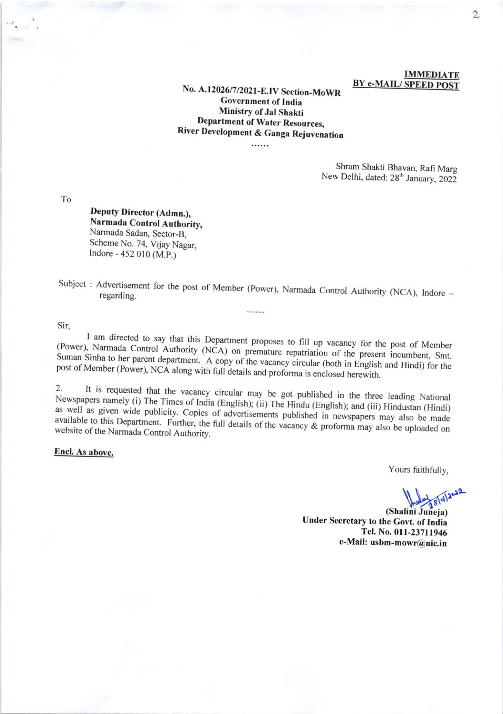## **IMMEDIATE BY e-MAIL/SPEED POST**

# No. A.12026/7/2021-E.IV Section-MoWR **Government of India** Ministry of Jal Shakti **Department of Water Resources,** River Development & Ganga Rejuvenation

 $\cdots$ 

Shram Shakti Bhavan, Rafi Marg New Delhi, dated: 28<sup>th</sup> January, 2022

 ${\rm To}$ 

Deputy Director (Admn.), Narmada Control Authority, Narmada Sadan, Sector-B, Scheme No. 74, Vijay Nagar, Indore - 452 010 (M.P.)

Subject : Advertisement for the post of Member (Power), Narmada Control Authority (NCA), Indore -

. . . . . .

Sir,

I am directed to say that this Department proposes to fill up vacancy for the post of Member (Power), Narmada Control Authority (NCA) on premature repatriation of the present incumbent, Smt. Suman Sinha to her parent department. A copy of the vacancy circular (both in English and Hindi) for the post of Member (Power), NCA along with full details and proforma is enclosed herewith.

It is requested that the vacancy circular may be got published in the three leading National  $\overline{2}$ . Newspapers namely (i) The Times of India (English); (ii) The Hindu (English); and (iii) Hindustan (Hindi) as well as given wide publicity. Copies of advertisements published in newspapers may also be made available to this Department. Further, the full details of the vacancy & proforma may also be uploaded on website of the Narmada Control Authority.

Encl. As above.

Yours faithfully,

(Shalini Juneja) Under Secretary to the Govt. of India Tel. No. 011-23711946 e-Mail: usbm-mowr@nic.in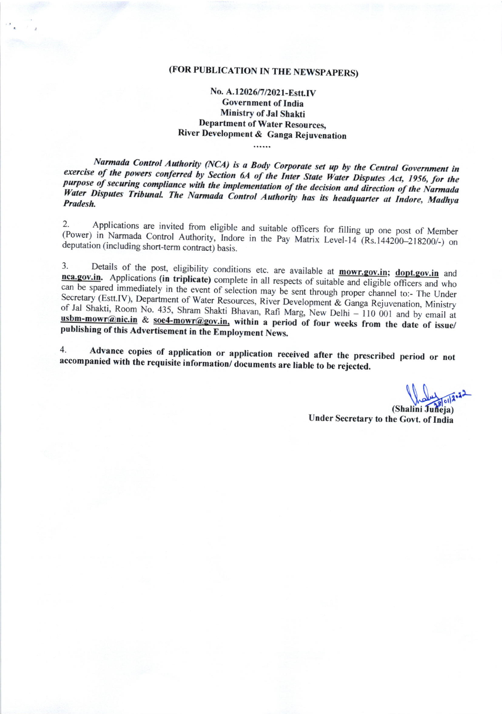# (FOR PUBLICATION IN THE NEWSPAPERS)

# No. A.12026/7/2021-Estt.IV **Government of India Ministry of Jal Shakti Department of Water Resources,** River Development & Ganga Rejuvenation

Narmada Control Authority (NCA) is a Body Corporate set up by the Central Government in exercise of the powers conferred by Section 6A of the Inter State Water Disputes Act, 1956, for the purpose of securing compliance with the implementation of the decision and direction of the Narmada Water Disputes Tribunal. The Narmada Control Authority has its headquarter at Indore, Madhya Pradesh.

Applications are invited from eligible and suitable officers for filling up one post of Member  $2.$ (Power) in Narmada Control Authority, Indore in the Pay Matrix Level-14 (Rs.144200-218200/-) on deputation (including short-term contract) basis.

Details of the post, eligibility conditions etc. are available at mowr.gov.in; dopt.gov.in and  $3.$ nca.gov.in. Applications (in triplicate) complete in all respects of suitable and eligible officers and who can be spared immediately in the event of selection may be sent through proper channel to:- The Under Secretary (Estt.IV), Department of Water Resources, River Development & Ganga Rejuvenation, Ministry of Jal Shakti, Room No. 435, Shram Shakti Bhavan, Rafi Marg, New Delhi - 110 001 and by email at usbm-mowr@nic.in & soe4-mowr@gov.in, within a period of four weeks from the date of issue/ publishing of this Advertisement in the Employment News.

Advance copies of application or application received after the prescribed period or not 4. accompanied with the requisite information/documents are liable to be rejected.

(Shalini Juneja) Under Secretary to the Govt. of India